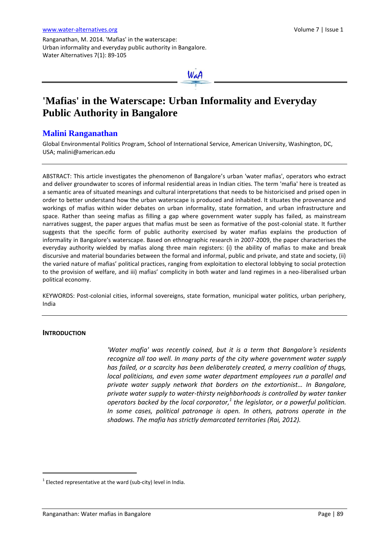Ranganathan, M. 2014. 'Mafias' in the waterscape: Urban informality and everyday public authority in Bangalore. Water Alternatives 7(1): 89-105



# **'Mafias' in the Waterscape: Urban Informality and Everyday Public Authority in Bangalore**

# **Malini Ranganathan**

Global Environmental Politics Program, School of International Service, American University, Washington, DC, USA; [malini@american.edu](mailto:malini@american.edu)

ABSTRACT: This article investigates the phenomenon of Bangalore's urban 'water mafias', operators who extract and deliver groundwater to scores of informal residential areas in Indian cities. The term 'mafia' here is treated as a semantic area of situated meanings and cultural interpretations that needs to be historicised and prised open in order to better understand how the urban waterscape is produced and inhabited. It situates the provenance and workings of mafias within wider debates on urban informality, state formation, and urban infrastructure and space. Rather than seeing mafias as filling a gap where government water supply has failed, as mainstream narratives suggest, the paper argues that mafias must be seen as formative of the post-colonial state. It further suggests that the specific form of public authority exercised by water mafias explains the production of informality in Bangalore's waterscape. Based on ethnographic research in 2007-2009, the paper characterises the everyday authority wielded by mafias along three main registers: (i) the ability of mafias to make and break discursive and material boundaries between the formal and informal, public and private, and state and society, (ii) the varied nature of mafias' political practices, ranging from exploitation to electoral lobbying to social protection to the provision of welfare, and iii) mafias' complicity in both water and land regimes in a neo-liberalised urban political economy.

KEYWORDS: Post-colonial cities, informal sovereigns, state formation, municipal water politics, urban periphery, India

#### **INTRODUCTION**

 $\overline{a}$ 

*'Water mafia' was recently coined, but it is a term that Bangalore's residents recognize all too well. In many parts of the city where government water supply has failed, or a scarcity has been deliberately created, a merry coalition of thugs, local politicians, and even some water department employees run a parallel and private water supply network that borders on the extortionist… In Bangalore, private water supply to water-thirsty neighborhoods is controlled by water tanker operators backed by the local corporator, 1 the legislator, or a powerful politician. In some cases, political patronage is open. In others, patrons operate in the shadows. The mafia has strictly demarcated territories (Rai, 2012).*

 $1$  Elected representative at the ward (sub-city) level in India.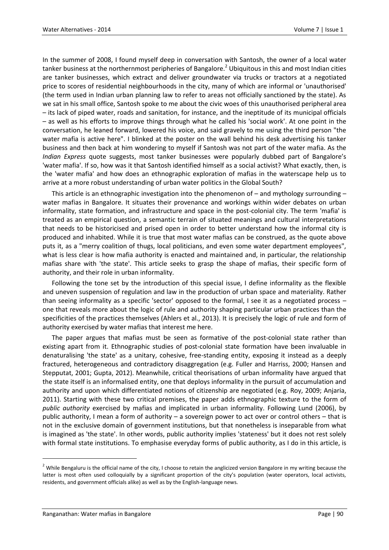In the summer of 2008, I found myself deep in conversation with Santosh, the owner of a local water tanker business at the northernmost peripheries of Bangalore.<sup>2</sup> Ubiquitous in this and most Indian cities are tanker businesses, which extract and deliver groundwater via trucks or tractors at a negotiated price to scores of residential neighbourhoods in the city, many of which are informal or 'unauthorised' (the term used in Indian urban planning law to refer to areas not officially sanctioned by the state). As we sat in his small office, Santosh spoke to me about the civic woes of this unauthorised peripheral area – its lack of piped water, roads and sanitation, for instance, and the ineptitude of its municipal officials – as well as his efforts to improve things through what he called his 'social work'. At one point in the conversation, he leaned forward, lowered his voice, and said gravely to me using the third person "the water mafia is active here". I blinked at the poster on the wall behind his desk advertising his tanker business and then back at him wondering to myself if Santosh was not part of the water mafia. As the *Indian Express* quote suggests, most tanker businesses were popularly dubbed part of Bangalore's 'water mafia'. If so, how was it that Santosh identified himself as a social activist? What exactly, then, is the 'water mafia' and how does an ethnographic exploration of mafias in the waterscape help us to arrive at a more robust understanding of urban water politics in the Global South?

This article is an ethnographic investigation into the phenomenon of – and mythology surrounding – water mafias in Bangalore. It situates their provenance and workings within wider debates on urban informality, state formation, and infrastructure and space in the post-colonial city. The term 'mafia' is treated as an empirical question, a semantic terrain of situated meanings and cultural interpretations that needs to be historicised and prised open in order to better understand how the informal city is produced and inhabited. While it is true that most water mafias can be construed, as the quote above puts it, as a "merry coalition of thugs, local politicians, and even some water department employees", what is less clear is how mafia authority is enacted and maintained and, in particular, the relationship mafias share with 'the state'. This article seeks to grasp the shape of mafias, their specific form of authority, and their role in urban informality.

Following the tone set by the introduction of this special issue, I define informality as the flexible and uneven suspension of regulation and law in the production of urban space and materiality. Rather than seeing informality as a specific 'sector' opposed to the formal, I see it as a negotiated process – one that reveals more about the logic of rule and authority shaping particular urban practices than the specificities of the practices themselves (Ahlers et al., 2013). It is precisely the logic of rule and form of authority exercised by water mafias that interest me here.

The paper argues that mafias must be seen as formative of the post-colonial state rather than existing apart from it. Ethnographic studies of post-colonial state formation have been invaluable in denaturalising 'the state' as a unitary, cohesive, free-standing entity, exposing it instead as a deeply fractured, heterogeneous and contradictory disaggregation (e.g. Fuller and Harriss, 2000; Hansen and Stepputat, 2001; Gupta, 2012). Meanwhile, critical theorisations of urban informality have argued that the state itself is an informalised entity, one that deploys informality in the pursuit of accumulation and authority and upon which differentiated notions of citizenship are negotiated (e.g. Roy, 2009; Anjaria, 2011). Starting with these two critical premises, the paper adds ethnographic texture to the form of *public authority* exercised by mafias and implicated in urban informality. Following Lund (2006), by public authority, I mean a form of authority – a sovereign power to act over or control others – that is not in the exclusive domain of government institutions, but that nonetheless is inseparable from what is imagined as 'the state'. In other words, public authority implies 'stateness' but it does not rest solely with formal state institutions. To emphasise everyday forms of public authority, as I do in this article, is

 $\overline{a}$ 

<sup>&</sup>lt;sup>2</sup> While Bengaluru is the official name of the city, I choose to retain the anglicized version Bangalore in my writing because the latter is most often used colloquially by a significant proportion of the city's population (water operators, local activists, residents, and government officials alike) as well as by the English-language news.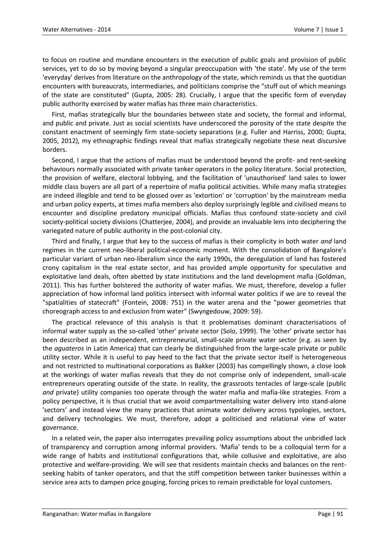to focus on routine and mundane encounters in the execution of public goals and provision of public services, yet to do so by moving beyond a singular preoccupation with 'the state'. My use of the term 'everyday' derives from literature on the anthropology of the state, which reminds us that the quotidian encounters with bureaucrats, intermediaries, and politicians comprise the "stuff out of which meanings of the state are constituted" (Gupta, 2005: 28). Crucially, I argue that the specific form of everyday public authority exercised by water mafias has three main characteristics.

First, mafias strategically blur the boundaries between state and society, the formal and informal, and public and private. Just as social scientists have underscored the porosity of the state despite the constant enactment of seemingly firm state-society separations (e.g. Fuller and Harriss, 2000; Gupta, 2005, 2012), my ethnographic findings reveal that mafias strategically negotiate these neat discursive borders.

Second, I argue that the actions of mafias must be understood beyond the profit- and rent-seeking behaviours normally associated with private tanker operators in the policy literature. Social protection, the provision of welfare, electoral lobbying, and the facilitation of 'unauthorised' land sales to lower middle class buyers are all part of a repertoire of mafia political activities. While many mafia strategies are indeed illegible and tend to be glossed over as 'extortion' or 'corruption' by the mainstream media and urban policy experts, at times mafia members also deploy surprisingly legible and civilised means to encounter and discipline predatory municipal officials. Mafias thus confound state-society and civil society-political society divisions (Chatterjee, 2004), and provide an invaluable lens into deciphering the variegated nature of public authority in the post-colonial city.

Third and finally, I argue that key to the success of mafias is their complicity in both water *and* land regimes in the current neo-liberal political-economic moment. With the consolidation of Bangalore's particular variant of urban neo-liberalism since the early 1990s, the deregulation of land has fostered crony capitalism in the real estate sector, and has provided ample opportunity for speculative and exploitative land deals, often abetted by state institutions and the land development mafia (Goldman, 2011). This has further bolstered the authority of water mafias. We must, therefore, develop a fuller appreciation of how informal land politics intersect with informal water politics if we are to reveal the "spatialities of statecraft" (Fontein, 2008: 751) in the water arena and the "power geometries that choreograph access to and exclusion from water" (Swyngedouw, 2009: 59).

The practical relevance of this analysis is that it problematises dominant characterisations of informal water supply as the so-called 'other' private sector (Solo, 1999). The 'other' private sector has been described as an independent, entrepreneurial, small-scale private water sector (e.g. as seen by the *aguateros* in Latin America) that can clearly be distinguished from the large-scale private or public utility sector. While it is useful to pay heed to the fact that the private sector itself is heterogeneous and not restricted to multinational corporations as Bakker (2003) has compellingly shown, a close look at the workings of water mafias reveals that they do not comprise only of independent, small-scale entrepreneurs operating outside of the state. In reality, the grassroots tentacles of large-scale (public *and* private) utility companies too operate through the water mafia and mafia-like strategies. From a policy perspective, it is thus crucial that we avoid compartmentalising water delivery into stand-alone 'sectors' and instead view the many practices that animate water delivery across typologies, sectors, and delivery technologies. We must, therefore, adopt a politicised and relational view of water governance.

In a related vein, the paper also interrogates prevailing policy assumptions about the unbridled lack of transparency and corruption among informal providers. 'Mafia' tends to be a colloquial term for a wide range of habits and institutional configurations that, while collusive and exploitative, are also protective and welfare-providing. We will see that residents maintain checks and balances on the rentseeking habits of tanker operators, and that the stiff competition between tanker businesses within a service area acts to dampen price gouging, forcing prices to remain predictable for loyal customers.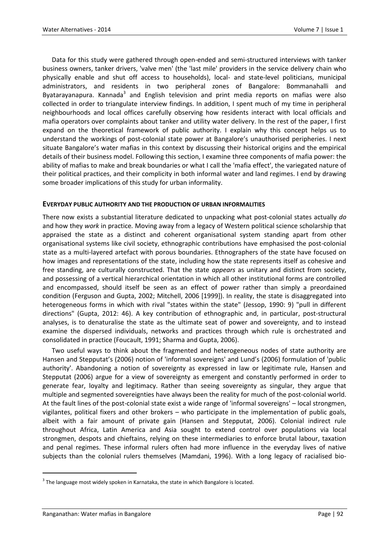Data for this study were gathered through open-ended and semi-structured interviews with tanker business owners, tanker drivers, 'valve men' (the 'last mile' providers in the service delivery chain who physically enable and shut off access to households), local- and state-level politicians, municipal administrators, and residents in two peripheral zones of Bangalore: Bommanahalli and Byatarayanapura. Kannada<sup>3</sup> and English television and print media reports on mafias were also collected in order to triangulate interview findings. In addition, I spent much of my time in peripheral neighbourhoods and local offices carefully observing how residents interact with local officials and mafia operators over complaints about tanker and utility water delivery. In the rest of the paper, I first expand on the theoretical framework of public authority. I explain why this concept helps us to understand the workings of post-colonial state power at Bangalore's unauthorised peripheries. I next situate Bangalore's water mafias in this context by discussing their historical origins and the empirical details of their business model. Following this section, I examine three components of mafia power: the ability of mafias to make and break boundaries or what I call the 'mafia effect', the variegated nature of their political practices, and their complicity in both informal water and land regimes. I end by drawing some broader implications of this study for urban informality.

#### **EVERYDAY PUBLIC AUTHORITY AND THE PRODUCTION OF URBAN INFORMALITIES**

There now exists a substantial literature dedicated to unpacking what post-colonial states actually *do*  and how they *work* in practice*.* Moving away from a legacy of Western political science scholarship that appraised the state as a distinct and coherent organisational system standing apart from other organisational systems like civil society, ethnographic contributions have emphasised the post-colonial state as a multi-layered artefact with porous boundaries. Ethnographers of the state have focused on how images and representations of the state, including how the state represents itself as cohesive and free standing, are culturally constructed. That the state *appears* as unitary and distinct from society, and possessing of a vertical hierarchical orientation in which all other institutional forms are controlled and encompassed, should itself be seen as an effect of power rather than simply a preordained condition (Ferguson and Gupta, 2002; Mitchell, 2006 [1999]). In reality, the state is disaggregated into heterogeneous forms in which with rival "states within the state" (Jessop, 1990: 9) "pull in different directions" (Gupta, 2012: 46). A key contribution of ethnographic and, in particular, post-structural analyses, is to denaturalise the state as the ultimate seat of power and sovereignty, and to instead examine the dispersed individuals, networks and practices through which rule is orchestrated and consolidated in practice (Foucault, 1991; Sharma and Gupta, 2006).

Two useful ways to think about the fragmented and heterogeneous nodes of state authority are Hansen and Stepputat's (2006) notion of 'informal sovereigns' and Lund's (2006) formulation of 'public authority'. Abandoning a notion of sovereignty as expressed in law or legitimate rule, Hansen and Stepputat (2006) argue for a view of sovereignty as emergent and constantly performed in order to generate fear, loyalty and legitimacy. Rather than seeing sovereignty as singular, they argue that multiple and segmented sovereignties have always been the reality for much of the post-colonial world. At the fault lines of the post-colonial state exist a wide range of 'informal sovereigns' – local strongmen, vigilantes, political fixers and other brokers – who participate in the implementation of public goals, albeit with a fair amount of private gain (Hansen and Stepputat, 2006). Colonial indirect rule throughout Africa, Latin America and Asia sought to extend control over populations via local strongmen, despots and chieftains, relying on these intermediaries to enforce brutal labour, taxation and penal regimes. These informal rulers often had more influence in the everyday lives of native subjects than the colonial rulers themselves (Mamdani, 1996). With a long legacy of racialised bio-

 $\overline{a}$ 

 $3$  The language most widely spoken in Karnataka, the state in which Bangalore is located.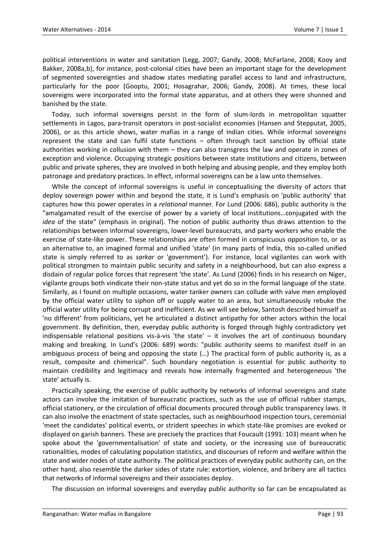political interventions in water and sanitation (Legg, 2007; Gandy, 2008; McFarlane, 2008; Kooy and Bakker, 2008a,b), for instance, post-colonial cities have been an important stage for the development of segmented sovereignties and shadow states mediating parallel access to land and infrastructure, particularly for the poor (Gooptu, 2001; Hosagrahar, 2006; Gandy, 2008). At times, these local sovereigns were incorporated into the formal state apparatus, and at others they were shunned and banished by the state.

Today, such informal sovereigns persist in the form of slum-lords in metropolitan squatter settlements in Lagos, para-transit operators in post-socialist economies (Hansen and Stepputat, 2005, 2006), or as this article shows, water mafias in a range of Indian cities. While informal sovereigns represent the state and can fulfil state functions – often through tacit sanction by official state authorities working in collusion with them – they can also transgress the law and operate in zones of exception and violence. Occupying strategic positions between state institutions and citizens, between public and private spheres, they are involved in both helping and abusing people, and they employ both patronage and predatory practices. In effect, informal sovereigns can be a law unto themselves.

While the concept of informal sovereigns is useful in conceptualising the diversity of actors that deploy sovereign power within and beyond the state, it is Lund's emphasis on 'public authority' that captures how this power operates in a *relational* manner. For Lund (2006: 686), public authority is the "amalgamated result of the exercise of power by a variety of local institutions…conjugated with the *idea* of the state" (emphasis in original). The notion of public authority thus draws attention to the relationships between informal sovereigns, lower-level bureaucrats, and party workers who enable the exercise of state-like power. These relationships are often formed in conspicuous opposition to, or as an alternative to, an imagined formal and unified 'state' (in many parts of India, this so-called unified state is simply referred to as *sarkar* or 'government'). For instance, local vigilantes can work with political strongmen to maintain public security and safety in a neighbourhood, but can also express a disdain of regular police forces that represent 'the state'. As Lund (2006) finds in his research on Niger, vigilante groups both vindicate their non-state status and yet do so in the formal language of the state. Similarly, as I found on multiple occasions, water tanker owners can collude with valve men employed by the official water utility to siphon off or supply water to an area, but simultaneously rebuke the official water utility for being corrupt and inefficient. As we will see below, Santosh described himself as 'no different' from politicians, yet he articulated a distinct antipathy for other actors within the local government. By definition, then, everyday public authority is forged through highly contradictory yet indispensable relational positions vis-à-vis 'the state' – it involves the art of continuous boundary making and breaking. In Lund's (2006: 689) words: "public authority seems to manifest itself in an ambiguous process of being and opposing the state (…) The practical form of public authority is, as a result, composite and chimerical". Such boundary negotiation is essential for public authority to maintain credibility and legitimacy and reveals how internally fragmented and heterogeneous 'the state' actually is.

Practically speaking, the exercise of public authority by networks of informal sovereigns and state actors can involve the imitation of bureaucratic practices, such as the use of official rubber stamps, official stationery, or the circulation of official documents procured through public transparency laws. It can also involve the enactment of state spectacles, such as neighbourhood inspection tours, ceremonial 'meet the candidates' political events, or strident speeches in which state-like promises are evoked or displayed on garish banners. These are precisely the practices that Foucault (1991: 103) meant when he spoke about the 'governmentalisation' of state and society, or the increasing use of bureaucratic rationalities, modes of calculating population statistics, and discourses of reform and welfare within the state and wider nodes of state authority. The political practices of everyday public authority can, on the other hand, also resemble the darker sides of state rule: extortion, violence, and bribery are all tactics that networks of informal sovereigns and their associates deploy.

The discussion on informal sovereigns and everyday public authority so far can be encapsulated as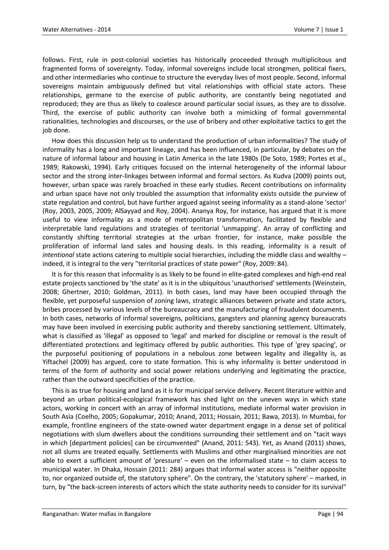follows. First, rule in post-colonial societies has historically proceeded through multiplicitous and fragmented forms of sovereignty. Today, informal sovereigns include local strongmen, political fixers, and other intermediaries who continue to structure the everyday lives of most people. Second, informal sovereigns maintain ambiguously defined but vital relationships with official state actors. These relationships, germane to the exercise of public authority, are constantly being negotiated and reproduced; they are thus as likely to coalesce around particular social issues, as they are to dissolve. Third, the exercise of public authority can involve both a mimicking of formal governmental rationalities, technologies and discourses, or the use of bribery and other exploitative tactics to get the job done.

How does this discussion help us to understand the production of urban informalities? The study of informality has a long and important lineage, and has been influenced, in particular, by debates on the nature of informal labour and housing in Latin America in the late 1980s (De Soto, 1989; Portes et al., 1989; Rakowski, 1994). Early critiques focused on the internal heterogeneity of the informal labour sector and the strong inter-linkages between informal and formal sectors. As Kudva (2009) points out, however, urban space was rarely broached in these early studies. Recent contributions on informality and urban space have not only troubled the assumption that informality exists outside the purview of state regulation and control, but have further argued against seeing informality as a stand-alone 'sector' (Roy, 2003, 2005, 2009; AlSayyad and Roy, 2004). Ananya Roy, for instance, has argued that it is more useful to view informality as a mode of metropolitan transformation, facilitated by flexible and interpretable land regulations and strategies of territorial 'unmapping'. An array of conflicting and constantly shifting territorial strategies at the urban frontier, for instance, make possible the proliferation of informal land sales and housing deals. In this reading, informality is a result of *intentional* state actions catering to multiple social hierarchies, including the middle class and wealthy – indeed, it is integral to the very "territorial practices of state power" (Roy, 2009: 84).

It is for this reason that informality is as likely to be found in elite-gated complexes and high-end real estate projects sanctioned by 'the state' as it is in the ubiquitous 'unauthorised' settlements (Weinstein, 2008; Ghertner, 2010; Goldman, 2011). In both cases, land may have been occupied through the flexible, yet purposeful suspension of zoning laws, strategic alliances between private and state actors, bribes processed by various levels of the bureaucracy and the manufacturing of fraudulent documents. In both cases, networks of informal sovereigns, politicians, gangsters and planning agency bureaucrats may have been involved in exercising public authority and thereby sanctioning settlement. Ultimately, what is classified as 'illegal' as opposed to 'legal' and marked for discipline or removal is the result of differentiated protections and legitimacy offered by public authorities. This type of 'grey spacing', or the purposeful positioning of populations in a nebulous zone between legality and illegality is, as Yiftachel (2009) has argued, core to state formation. This is why informality is better understood in terms of the form of authority and social power relations underlying and legitimating the practice, rather than the outward specificities of the practice.

This is as true for housing and land as it is for municipal service delivery. Recent literature within and beyond an urban political-ecological framework has shed light on the uneven ways in which state actors, working in concert with an array of informal institutions, mediate informal water provision in South Asia (Coelho, 2005; Gopakumar, 2010; Anand, 2011; Hossain, 2011; Bawa, 2013). In Mumbai, for example, frontline engineers of the state-owned water department engage in a dense set of political negotiations with slum dwellers about the conditions surrounding their settlement and on "tacit ways in which [department policies] can be circumvented" (Anand, 2011: 543). Yet, as Anand (2011) shows, not all slums are treated equally. Settlements with Muslims and other marginalised minorities are not able to exert a sufficient amount of 'pressure' – even on the informalised state – to claim access to municipal water. In Dhaka, Hossain (2011: 284) argues that informal water access is "neither opposite to, nor organized outside of, the statutory sphere". On the contrary, the 'statutory sphere' – marked, in turn, by "the back-screen interests of actors which the state authority needs to consider for its survival"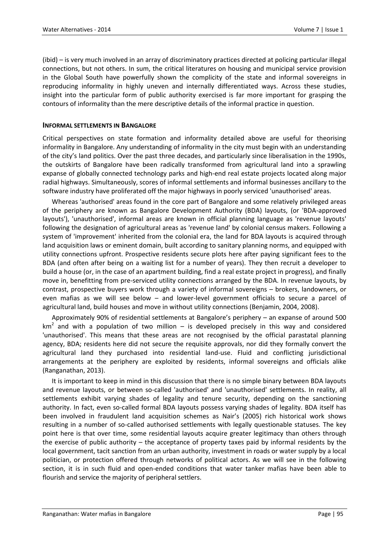(ibid) – is very much involved in an array of discriminatory practices directed at policing particular illegal connections, but not others. In sum, the critical literatures on housing and municipal service provision in the Global South have powerfully shown the complicity of the state and informal sovereigns in reproducing informality in highly uneven and internally differentiated ways. Across these studies, insight into the particular form of public authority exercised is far more important for grasping the contours of informality than the mere descriptive details of the informal practice in question.

#### **INFORMAL SETTLEMENTS IN BANGALORE**

Critical perspectives on state formation and informality detailed above are useful for theorising informality in Bangalore. Any understanding of informality in the city must begin with an understanding of the city's land politics. Over the past three decades, and particularly since liberalisation in the 1990s, the outskirts of Bangalore have been radically transformed from agricultural land into a sprawling expanse of globally connected technology parks and high-end real estate projects located along major radial highways. Simultaneously, scores of informal settlements and informal businesses ancillary to the software industry have proliferated off the major highways in poorly serviced 'unauthorised' areas.

Whereas 'authorised' areas found in the core part of Bangalore and some relatively privileged areas of the periphery are known as Bangalore Development Authority (BDA) layouts, (or 'BDA-approved layouts'), 'unauthorised', informal areas are known in official planning language as 'revenue layouts' following the designation of agricultural areas as 'revenue land' by colonial census makers. Following a system of 'improvement' inherited from the colonial era, the land for BDA layouts is acquired through land acquisition laws or eminent domain, built according to sanitary planning norms, and equipped with utility connections upfront. Prospective residents secure plots here after paying significant fees to the BDA (and often after being on a waiting list for a number of years). They then recruit a developer to build a house (or, in the case of an apartment building, find a real estate project in progress), and finally move in, benefitting from pre-serviced utility connections arranged by the BDA. In revenue layouts, by contrast, prospective buyers work through a variety of informal sovereigns – brokers, landowners, or even mafias as we will see below – and lower-level government officials to secure a parcel of agricultural land, build houses and move in without utility connections (Benjamin, 2004, 2008).

Approximately 90% of residential settlements at Bangalore's periphery – an expanse of around 500  $km<sup>2</sup>$  and with a population of two million – is developed precisely in this way and considered 'unauthorised'. This means that these areas are not recognised by the official parastatal planning agency, BDA; residents here did not secure the requisite approvals, nor did they formally convert the agricultural land they purchased into residential land-use. Fluid and conflicting jurisdictional arrangements at the periphery are exploited by residents, informal sovereigns and officials alike (Ranganathan, 2013).

It is important to keep in mind in this discussion that there is no simple binary between BDA layouts and revenue layouts, or between so-called 'authorised' and 'unauthorised' settlements. In reality, all settlements exhibit varying shades of legality and tenure security, depending on the sanctioning authority. In fact, even so-called formal BDA layouts possess varying shades of legality. BDA itself has been involved in fraudulent land acquisition schemes as Nair's (2005) rich historical work shows resulting in a number of so-called authorised settlements with legally questionable statuses. The key point here is that over time, some residential layouts acquire greater legitimacy than others through the exercise of public authority – the acceptance of property taxes paid by informal residents by the local government, tacit sanction from an urban authority, investment in roads or water supply by a local politician, or protection offered through networks of political actors. As we will see in the following section, it is in such fluid and open-ended conditions that water tanker mafias have been able to flourish and service the majority of peripheral settlers.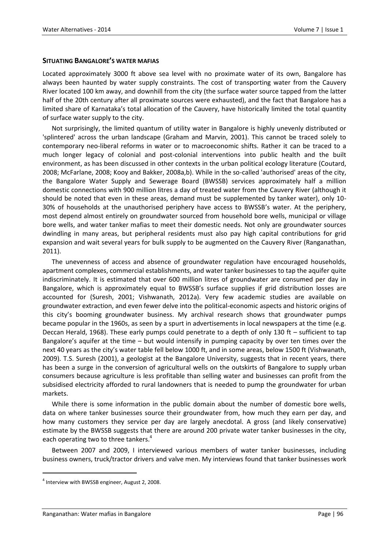#### **SITUATING BANGALORE'S WATER MAFIAS**

Located approximately 3000 ft above sea level with no proximate water of its own, Bangalore has always been haunted by water supply constraints. The cost of transporting water from the Cauvery River located 100 km away, and downhill from the city (the surface water source tapped from the latter half of the 20th century after all proximate sources were exhausted), and the fact that Bangalore has a limited share of Karnataka's total allocation of the Cauvery, have historically limited the total quantity of surface water supply to the city.

Not surprisingly, the limited quantum of utility water in Bangalore is highly unevenly distributed or 'splintered' across the urban landscape (Graham and Marvin, 2001). This cannot be traced solely to contemporary neo-liberal reforms in water or to macroeconomic shifts. Rather it can be traced to a much longer legacy of colonial and post-colonial interventions into public health and the built environment, as has been discussed in other contexts in the urban political ecology literature (Coutard, 2008; McFarlane, 2008; Kooy and Bakker, 2008a,b). While in the so-called 'authorised' areas of the city, the Bangalore Water Supply and Sewerage Board (BWSSB) services approximately half a million domestic connections with 900 million litres a day of treated water from the Cauvery River (although it should be noted that even in these areas, demand must be supplemented by tanker water), only 10- 30% of households at the unauthorised periphery have access to BWSSB's water. At the periphery, most depend almost entirely on groundwater sourced from household bore wells, municipal or village bore wells, and water tanker mafias to meet their domestic needs. Not only are groundwater sources dwindling in many areas, but peripheral residents must also pay high capital contributions for grid expansion and wait several years for bulk supply to be augmented on the Cauvery River (Ranganathan, 2011).

The unevenness of access and absence of groundwater regulation have encouraged households, apartment complexes, commercial establishments, and water tanker businesses to tap the aquifer quite indiscriminately. It is estimated that over 600 million litres of groundwater are consumed per day in Bangalore, which is approximately equal to BWSSB's surface supplies if grid distribution losses are accounted for (Suresh, 2001; Vishwanath, 2012a). Very few academic studies are available on groundwater extraction, and even fewer delve into the political-economic aspects and historic origins of this city's booming groundwater business. My archival research shows that groundwater pumps became popular in the 1960s, as seen by a spurt in advertisements in local newspapers at the time (e.g. Deccan Herald, 1968). These early pumps could penetrate to a depth of only 130 ft – sufficient to tap Bangalore's aquifer at the time – but would intensify in pumping capacity by over ten times over the next 40 years as the city's water table fell below 1000 ft, and in some areas, below 1500 ft (Vishwanath, 2009). T.S. Suresh (2001), a geologist at the Bangalore University, suggests that in recent years, there has been a surge in the conversion of agricultural wells on the outskirts of Bangalore to supply urban consumers because agriculture is less profitable than selling water and businesses can profit from the subsidised electricity afforded to rural landowners that is needed to pump the groundwater for urban markets.

While there is some information in the public domain about the number of domestic bore wells, data on where tanker businesses source their groundwater from, how much they earn per day, and how many customers they service per day are largely anecdotal. A gross (and likely conservative) estimate by the BWSSB suggests that there are around 200 private water tanker businesses in the city, each operating two to three tankers.<sup>4</sup>

Between 2007 and 2009, I interviewed various members of water tanker businesses, including business owners, truck/tractor drivers and valve men. My interviews found that tanker businesses work

 $\overline{a}$ 

<sup>&</sup>lt;sup>4</sup> Interview with BWSSB engineer, August 2, 2008.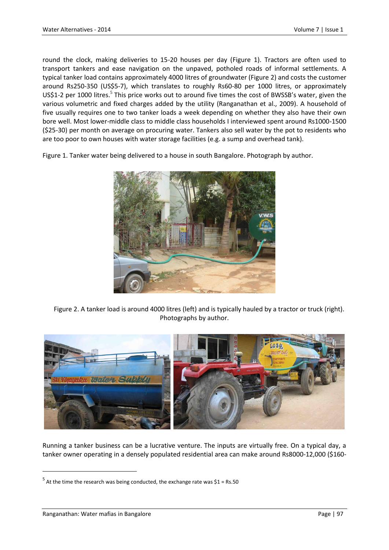round the clock, making deliveries to 15-20 houses per day [\(Figure 1\)](#page-8-0). Tractors are often used to transport tankers and ease navigation on the unpaved, potholed roads of informal settlements. A typical tanker load contains approximately 4000 litres of groundwater [\(Figure 2\)](#page-8-1) and costs the customer around Rs250-350 (US\$5-7), which translates to roughly Rs60-80 per 1000 litres, or approximately US\$1-2 per 1000 litres.<sup>5</sup> This price works out to around five times the cost of BWSSB's water, given the various volumetric and fixed charges added by the utility (Ranganathan et al., 2009). A household of five usually requires one to two tanker loads a week depending on whether they also have their own bore well. Most lower-middle class to middle class households I interviewed spent around Rs1000-1500 (\$25-30) per month on average on procuring water. Tankers also sell water by the pot to residents who are too poor to own houses with water storage facilities (e.g. a sump and overhead tank).

<span id="page-8-0"></span>Figure 1. Tanker water being delivered to a house in south Bangalore. Photograph by author.



<span id="page-8-1"></span>Figure 2. A tanker load is around 4000 litres (left) and is typically hauled by a tractor or truck (right). Photographs by author.



Running a tanker business can be a lucrative venture. The inputs are virtually free. On a typical day, a tanker owner operating in a densely populated residential area can make around Rs8000-12,000 (\$160-

 $\ddot{\phantom{a}}$ 

 $<sup>5</sup>$  At the time the research was being conducted, the exchange rate was \$1 = Rs.50</sup>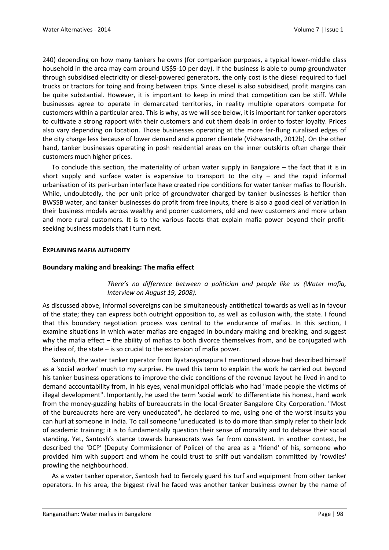240) depending on how many tankers he owns (for comparison purposes, a typical lower-middle class household in the area may earn around US\$5-10 per day). If the business is able to pump groundwater through subsidised electricity or diesel-powered generators, the only cost is the diesel required to fuel trucks or tractors for toing and froing between trips. Since diesel is also subsidised, profit margins can be quite substantial. However, it is important to keep in mind that competition can be stiff. While businesses agree to operate in demarcated territories, in reality multiple operators compete for customers within a particular area. This is why, as we will see below, it is important for tanker operators to cultivate a strong rapport with their customers and cut them deals in order to foster loyalty. Prices also vary depending on location. Those businesses operating at the more far-flung ruralised edges of the city charge less because of lower demand and a poorer clientele (Vishwanath, 2012b). On the other hand, tanker businesses operating in posh residential areas on the inner outskirts often charge their customers much higher prices.

To conclude this section, the materiality of urban water supply in Bangalore – the fact that it is in short supply and surface water is expensive to transport to the city  $-$  and the rapid informal urbanisation of its peri-urban interface have created ripe conditions for water tanker mafias to flourish. While, undoubtedly, the per unit price of groundwater charged by tanker businesses is heftier than BWSSB water, and tanker businesses do profit from free inputs, there is also a good deal of variation in their business models across wealthy and poorer customers, old and new customers and more urban and more rural customers. It is to the various facets that explain mafia power beyond their profitseeking business models that I turn next.

#### **EXPLAINING MAFIA AUTHORITY**

# **Boundary making and breaking: The mafia effect**

*There's no difference between a politician and people like us (Water mafia, Interview on August 19, 2008).*

As discussed above, informal sovereigns can be simultaneously antithetical towards as well as in favour of the state; they can express both outright opposition to, as well as collusion with, the state. I found that this boundary negotiation process was central to the endurance of mafias. In this section, I examine situations in which water mafias are engaged in boundary making and breaking, and suggest why the mafia effect – the ability of mafias to both divorce themselves from, and be conjugated with the idea of, the state – is so crucial to the extension of mafia power.

Santosh, the water tanker operator from Byatarayanapura I mentioned above had described himself as a 'social worker' much to my surprise. He used this term to explain the work he carried out beyond his tanker business operations to improve the civic conditions of the revenue layout he lived in and to demand accountability from, in his eyes, venal municipal officials who had "made people the victims of illegal development". Importantly, he used the term 'social work' to differentiate his honest, hard work from the money-guzzling habits of bureaucrats in the local Greater Bangalore City Corporation. "Most of the bureaucrats here are very uneducated", he declared to me, using one of the worst insults you can hurl at someone in India. To call someone 'uneducated' is to do more than simply refer to their lack of academic training; it is to fundamentally question their sense of morality and to debase their social standing. Yet, Santosh's stance towards bureaucrats was far from consistent. In another context, he described the 'DCP' (Deputy Commissioner of Police) of the area as a 'friend' of his, someone who provided him with support and whom he could trust to sniff out vandalism committed by 'rowdies' prowling the neighbourhood.

As a water tanker operator, Santosh had to fiercely guard his turf and equipment from other tanker operators. In his area, the biggest rival he faced was another tanker business owner by the name of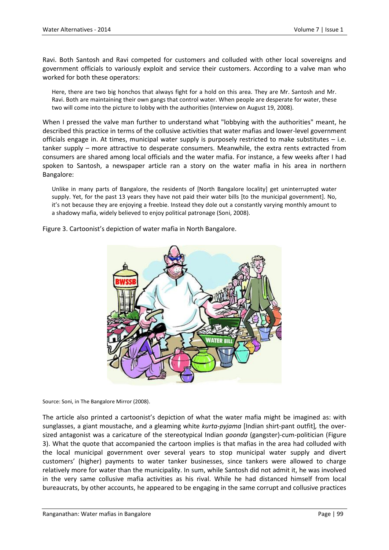Ravi. Both Santosh and Ravi competed for customers and colluded with other local sovereigns and government officials to variously exploit and service their customers. According to a valve man who worked for both these operators:

Here, there are two big honchos that always fight for a hold on this area. They are Mr. Santosh and Mr. Ravi. Both are maintaining their own gangs that control water. When people are desperate for water, these two will come into the picture to lobby with the authorities (Interview on August 19, 2008).

When I pressed the valve man further to understand what "lobbying with the authorities" meant, he described this practice in terms of the collusive activities that water mafias and lower-level government officials engage in. At times, municipal water supply is purposely restricted to make substitutes – i.e. tanker supply – more attractive to desperate consumers. Meanwhile, the extra rents extracted from consumers are shared among local officials and the water mafia. For instance, a few weeks after I had spoken to Santosh, a newspaper article ran a story on the water mafia in his area in northern Bangalore:

Unlike in many parts of Bangalore, the residents of [North Bangalore locality] get uninterrupted water supply. Yet, for the past 13 years they have not paid their water bills [to the municipal government]. No, it's not because they are enjoying a freebie. Instead they dole out a constantly varying monthly amount to a shadowy mafia, widely believed to enjoy political patronage (Soni, 2008).

<span id="page-10-0"></span>Figure 3. Cartoonist's depiction of water mafia in North Bangalore.



Source: Soni, in The Bangalore Mirror (2008).

The article also printed a cartoonist's depiction of what the water mafia might be imagined as: with sunglasses, a giant moustache, and a gleaming white *kurta-pyjama* [Indian shirt-pant outfit]*,* the oversized antagonist was a caricature of the stereotypical Indian *goonda* (gangster)-cum-politician [\(Figure](#page-10-0)  [3\)](#page-10-0). What the quote that accompanied the cartoon implies is that mafias in the area had colluded with the local municipal government over several years to stop municipal water supply and divert customers' (higher) payments to water tanker businesses, since tankers were allowed to charge relatively more for water than the municipality. In sum, while Santosh did not admit it, he was involved in the very same collusive mafia activities as his rival. While he had distanced himself from local bureaucrats, by other accounts, he appeared to be engaging in the same corrupt and collusive practices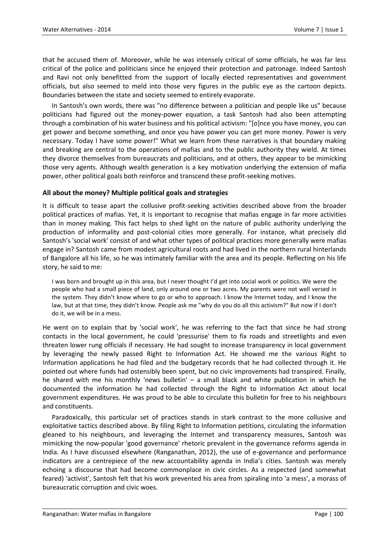that he accused them of. Moreover, while he was intensely critical of some officials, he was far less critical of the police and politicians since he enjoyed their protection and patronage. Indeed Santosh and Ravi not only benefitted from the support of locally elected representatives and government officials, but also seemed to meld into those very figures in the public eye as the cartoon depicts. Boundaries between the state and society seemed to entirely evaporate.

In Santosh's own words, there was "no difference between a politician and people like us" because politicians had figured out the money-power equation, a task Santosh had also been attempting through a combination of his water business and his political activism: "[o]nce you have money, you can get power and become something, and once you have power you can get more money. Power is very necessary. Today I have some power!" What we learn from these narratives is that boundary making and breaking are central to the operations of mafias and to the public authority they wield. At times they divorce themselves from bureaucrats and politicians, and at others, they appear to be mimicking those very agents. Although wealth generation is a key motivation underlying the extension of mafia power, other political goals both reinforce and transcend these profit-seeking motives.

# **All about the money? Multiple political goals and strategies**

It is difficult to tease apart the collusive profit-seeking activities described above from the broader political practices of mafias. Yet, it is important to recognise that mafias engage in far more activities than in money making. This fact helps to shed light on the nature of public authority underlying the production of informality and post-colonial cities more generally. For instance, what precisely did Santosh's 'social work' consist of and what other types of political practices more generally were mafias engage in? Santosh came from modest agricultural roots and had lived in the northern rural hinterlands of Bangalore all his life, so he was intimately familiar with the area and its people. Reflecting on his life story, he said to me:

I was born and brought up in this area, but I never thought I'd get into social work or politics. We were the people who had a small piece of land, only around one or two acres. My parents were not well versed in the system. They didn't know where to go or who to approach. I know the Internet today, and I know the law, but at that time, they didn't know. People ask me "why do you do all this activism?" But now if I don't do it, we will be in a mess.

He went on to explain that by 'social work', he was referring to the fact that since he had strong contacts in the local government, he could 'pressurise' them to fix roads and streetlights and even threaten lower rung officials if necessary. He had sought to increase transparency in local government by leveraging the newly passed Right to Information Act. He showed me the various Right to Information applications he had filed and the budgetary records that he had collected through it. He pointed out where funds had ostensibly been spent, but no civic improvements had transpired. Finally, he shared with me his monthly 'news bulletin'  $-$  a small black and white publication in which he documented the information he had collected through the Right to Information Act about local government expenditures. He was proud to be able to circulate this bulletin for free to his neighbours and constituents.

Paradoxically, this particular set of practices stands in stark contrast to the more collusive and exploitative tactics described above. By filing Right to Information petitions, circulating the information gleaned to his neighbours, and leveraging the Internet and transparency measures, Santosh was mimicking the now-popular 'good governance' rhetoric prevalent in the governance reforms agenda in India. As I have discussed elsewhere (Ranganathan, 2012), the use of e-governance and performance indicators are a centrepiece of the new accountability agenda in India's cities. Santosh was merely echoing a discourse that had become commonplace in civic circles. As a respected (and somewhat feared) 'activist', Santosh felt that his work prevented his area from spiraling into 'a mess', a morass of bureaucratic corruption and civic woes.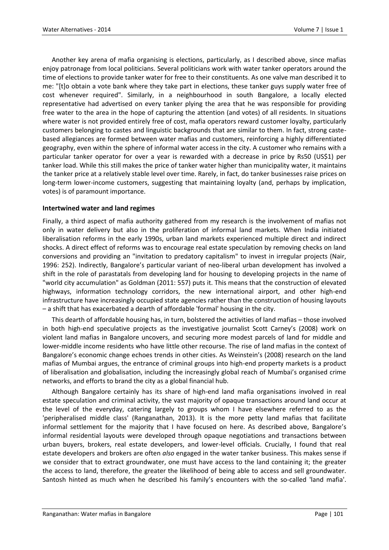Another key arena of mafia organising is elections, particularly, as I described above, since mafias enjoy patronage from local politicians. Several politicians work with water tanker operators around the time of elections to provide tanker water for free to their constituents. As one valve man described it to me: "[t]o obtain a vote bank where they take part in elections, these tanker guys supply water free of cost whenever required". Similarly, in a neighbourhood in south Bangalore, a locally elected representative had advertised on every tanker plying the area that he was responsible for providing free water to the area in the hope of capturing the attention (and votes) of all residents. In situations where water is not provided entirely free of cost, mafia operators reward customer loyalty, particularly customers belonging to castes and linguistic backgrounds that are similar to them. In fact, strong castebased allegiances are formed between water mafias and customers, reinforcing a highly differentiated geography, even within the sphere of informal water access in the city. A customer who remains with a particular tanker operator for over a year is rewarded with a decrease in price by Rs50 (US\$1) per tanker load. While this still makes the price of tanker water higher than municipality water, it maintains the tanker price at a relatively stable level over time. Rarely, in fact, do tanker businesses raise prices on long-term lower-income customers, suggesting that maintaining loyalty (and, perhaps by implication, votes) is of paramount importance.

#### **Intertwined water and land regimes**

Finally, a third aspect of mafia authority gathered from my research is the involvement of mafias not only in water delivery but also in the proliferation of informal land markets. When India initiated liberalisation reforms in the early 1990s, urban land markets experienced multiple direct and indirect shocks. A direct effect of reforms was to encourage real estate speculation by removing checks on land conversions and providing an "invitation to predatory capitalism" to invest in irregular projects (Nair, 1996: 252). Indirectly, Bangalore's particular variant of neo-liberal urban development has involved a shift in the role of parastatals from developing land for housing to developing projects in the name of "world city accumulation" as Goldman (2011: 557) puts it. This means that the construction of elevated highways, information technology corridors, the new international airport, and other high-end infrastructure have increasingly occupied state agencies rather than the construction of housing layouts – a shift that has exacerbated a dearth of affordable 'formal' housing in the city.

This dearth of affordable housing has, in turn, bolstered the activities of land mafias – those involved in both high-end speculative projects as the investigative journalist Scott Carney's (2008) work on violent land mafias in Bangalore uncovers, and securing more modest parcels of land for middle and lower-middle income residents who have little other recourse. The rise of land mafias in the context of Bangalore's economic change echoes trends in other cities. As Weinstein's (2008) research on the land mafias of Mumbai argues, the entrance of criminal groups into high-end property markets is a product of liberalisation and globalisation, including the increasingly global reach of Mumbai's organised crime networks, and efforts to brand the city as a global financial hub.

Although Bangalore certainly has its share of high-end land mafia organisations involved in real estate speculation and criminal activity, the vast majority of opaque transactions around land occur at the level of the everyday, catering largely to groups whom I have elsewhere referred to as the 'peripheralised middle class' (Ranganathan, 2013). It is the more petty land mafias that facilitate informal settlement for the majority that I have focused on here. As described above, Bangalore's informal residential layouts were developed through opaque negotiations and transactions between urban buyers, brokers, real estate developers, and lower-level officials. Crucially, I found that real estate developers and brokers are often *also* engaged in the water tanker business. This makes sense if we consider that to extract groundwater, one must have access to the land containing it; the greater the access to land, therefore, the greater the likelihood of being able to access and sell groundwater. Santosh hinted as much when he described his family's encounters with the so-called 'land mafia'.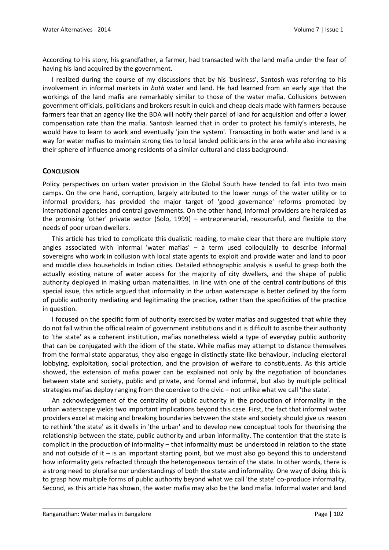According to his story, his grandfather, a farmer, had transacted with the land mafia under the fear of having his land acquired by the government.

I realized during the course of my discussions that by his 'business', Santosh was referring to his involvement in informal markets in *both* water and land. He had learned from an early age that the workings of the land mafia are remarkably similar to those of the water mafia. Collusions between government officials, politicians and brokers result in quick and cheap deals made with farmers because farmers fear that an agency like the BDA will notify their parcel of land for acquisition and offer a lower compensation rate than the mafia. Santosh learned that in order to protect his family's interests, he would have to learn to work and eventually 'join the system'. Transacting in both water and land is a way for water mafias to maintain strong ties to local landed politicians in the area while also increasing their sphere of influence among residents of a similar cultural and class background.

# **CONCLUSION**

Policy perspectives on urban water provision in the Global South have tended to fall into two main camps. On the one hand, corruption, largely attributed to the lower rungs of the water utility or to informal providers, has provided the major target of 'good governance' reforms promoted by international agencies and central governments. On the other hand, informal providers are heralded as the promising 'other' private sector (Solo, 1999) – entrepreneurial, resourceful, and flexible to the needs of poor urban dwellers.

This article has tried to complicate this dualistic reading, to make clear that there are multiple story angles associated with informal 'water mafias' – a term used colloquially to describe informal sovereigns who work in collusion with local state agents to exploit and provide water and land to poor and middle class households in Indian cities. Detailed ethnographic analysis is useful to grasp both the actually existing nature of water access for the majority of city dwellers, and the shape of public authority deployed in making urban materialities. In line with one of the central contributions of this special issue, this article argued that informality in the urban waterscape is better defined by the form of public authority mediating and legitimating the practice, rather than the specificities of the practice in question.

I focused on the specific form of authority exercised by water mafias and suggested that while they do not fall within the official realm of government institutions and it is difficult to ascribe their authority to 'the state' as a coherent institution, mafias nonetheless wield a type of everyday public authority that can be conjugated with the idiom of the state. While mafias may attempt to distance themselves from the formal state apparatus, they also engage in distinctly state-like behaviour, including electoral lobbying, exploitation, social protection, and the provision of welfare to constituents. As this article showed, the extension of mafia power can be explained not only by the negotiation of boundaries between state and society, public and private, and formal and informal, but also by multiple political strategies mafias deploy ranging from the coercive to the civic – not unlike what we call 'the state'.

An acknowledgement of the centrality of public authority in the production of informality in the urban waterscape yields two important implications beyond this case. First, the fact that informal water providers excel at making and breaking boundaries between the state and society should give us reason to rethink 'the state' as it dwells in 'the urban' and to develop new conceptual tools for theorising the relationship between the state, public authority and urban informality. The contention that the state is complicit in the production of informality – that informality must be understood in relation to the state and not outside of it – is an important starting point, but we must also go beyond this to understand how informality gets refracted through the heterogeneous terrain of the state. In other words, there is a strong need to pluralise our understandings of both the state and informality. One way of doing this is to grasp how multiple forms of public authority beyond what we call 'the state' co-produce informality. Second, as this article has shown, the water mafia may also be the land mafia. Informal water and land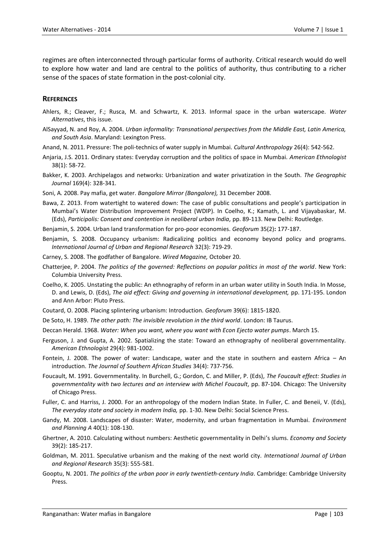regimes are often interconnected through particular forms of authority. Critical research would do well to explore how water and land are central to the politics of authority, thus contributing to a richer sense of the spaces of state formation in the post-colonial city.

#### **REFERENCES**

- Ahlers, R.; Cleaver, F.; Rusca, M. and Schwartz, K. 2013. Informal space in the urban waterscape. *Water Alternatives*, this issue.
- AlSayyad, N. and Roy, A. 2004. *Urban informality: Transnational perspectives from the Middle East, Latin America, and South Asia*. Maryland: Lexington Press.
- Anand, N. 2011. Pressure: The poli-technics of water supply in Mumbai. *Cultural Anthropology* 26(4): 542-562.
- Anjaria, J.S. 2011. Ordinary states: Everyday corruption and the politics of space in Mumbai. *American Ethnologist* 38(1): 58-72.
- Bakker, K. 2003. Archipelagos and networks: Urbanization and water privatization in the South. *The Geographic Journal* 169(4): 328-341.
- Soni, A*.* 2008. Pay mafia, get water. *Bangalore Mirror (Bangalore),* 31 December 2008.
- Bawa, Z. 2013. From watertight to watered down: The case of public consultations and people's participation in Mumbai's Water Distribution Improvement Project (WDIP). In Coelho, K.; Kamath, L. and Vijayabaskar, M. (Eds), *Participolis: Consent and contention in neoliberal urban India,* pp. 89-113. New Delhi: Routledge.
- Benjamin, S. 2004. Urban land transformation for pro-poor economies. *Geoforum* 35(2)**:** 177-187.
- Benjamin, S. 2008. Occupancy urbanism: Radicalizing politics and economy beyond policy and programs. *International Journal of Urban and Regional Research* 32(3): 719-29.
- Carney, S. 2008. The godfather of Bangalore. *Wired Magazine,* October 20.
- Chatterjee, P. 2004. *The politics of the governed: Reflections on popular politics in most of the world*. New York: Columbia University Press.
- Coelho, K. 2005. Unstating the public: An ethnography of reform in an urban water utility in South India. In Mosse, D. and Lewis, D. (Eds), *The aid effect: Giving and governing in international development,* pp. 171-195. London and Ann Arbor: Pluto Press.
- Coutard, O. 2008. Placing splintering urbanism: Introduction. *Geoforum* 39(6): 1815-1820.
- De Soto, H. 1989. *The other path: The invisible revolution in the third world*. London: IB Taurus.
- Deccan Herald. 1968. *Water: When you want, where you want with Econ Ejecto water pumps*. March 15.
- Ferguson, J. and Gupta, A. 2002. Spatializing the state: Toward an ethnography of neoliberal governmentality. *American Ethnologist* 29(4): 981-1002.
- Fontein, J. 2008. The power of water: Landscape, water and the state in southern and eastern Africa An introduction. *The Journal of Southern African Studies* 34(4): 737-756.
- Foucault, M. 1991. Governmentality. In Burchell, G.; Gordon, C. and Miller, P. (Eds), *The Foucault effect: Studies in governmentality with two lectures and an interview with Michel Foucault,* pp. 87-104. Chicago: The University of Chicago Press.
- Fuller, C. and Harriss, J. 2000. For an anthropology of the modern Indian State. In Fuller, C. and Beneii, V. (Eds), *The everyday state and society in modern India,* pp. 1-30. New Delhi: Social Science Press.
- Gandy, M. 2008. Landscapes of disaster: Water, modernity, and urban fragmentation in Mumbai. *Environment and Planning A* 40(1): 108-130.
- Ghertner, A. 2010. Calculating without numbers: Aesthetic governmentality in Delhi's slums. *Economy and Society* 39(2): 185-217.
- Goldman, M. 2011. Speculative urbanism and the making of the next world city. *International Journal of Urban and Regional Research* 35(3): 555-581.
- Gooptu, N. 2001. *The politics of the urban poor in early twentieth-century India*. Cambridge: Cambridge University Press.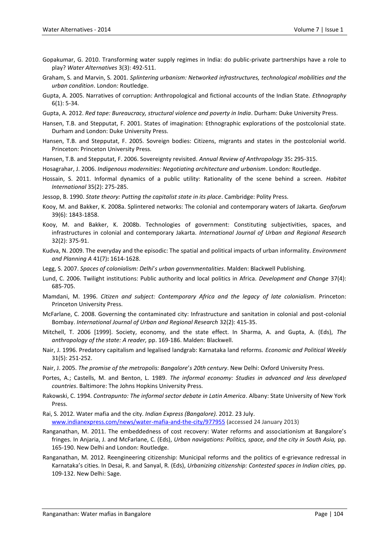- Gopakumar, G. 2010. Transforming water supply regimes in India: do public-private partnerships have a role to play? *Water Alternatives* 3(3): 492-511.
- Graham, S. and Marvin, S. 2001. *Splintering urbanism: Networked infrastructures, technological mobilities and the urban condition*. London: Routledge.
- Gupta, A. 2005. Narratives of corruption: Anthropological and fictional accounts of the Indian State. *Ethnography* 6(1): 5-34.
- Gupta, A. 2012. *Red tape: Bureaucracy, structural violence and poverty in India*. Durham: Duke University Press.
- Hansen, T.B. and Stepputat, F. 2001. States of imagination: Ethnographic explorations of the postcolonial state. Durham and London: Duke University Press.
- Hansen, T.B. and Stepputat, F. 2005. Sovreign bodies: Citizens, migrants and states in the postcolonial world. Princeton: Princeton University Press.
- Hansen, T.B. and Stepputat, F. 2006. Sovereignty revisited. *Annual Review of Anthropology* 35**:** 295-315.
- Hosagrahar, J. 2006. *Indigenous modernities: Negotiating architecture and urbanism*. London: Routledge.
- Hossain, S. 2011. Informal dynamics of a public utility: Rationality of the scene behind a screen. *Habitat International* 35(2): 275-285.
- Jessop, B. 1990. *State theory: Putting the capitalist state in its place*. Cambridge: Polity Press.
- Kooy, M. and Bakker, K. 2008a. Splintered networks: The colonial and contemporary waters of Jakarta. *Geoforum* 39(6): 1843-1858.
- Kooy, M. and Bakker, K. 2008b. Technologies of government: Constituting subjectivities, spaces, and infrastructures in colonial and contemporary Jakarta. *International Journal of Urban and Regional Research* 32(2): 375-91.
- Kudva, N. 2009. The everyday and the episodic: The spatial and political impacts of urban informality. *Environment and Planning A* 41(7)**:** 1614-1628.
- Legg, S. 2007. *Spaces of colonialism: Delhi*'*s urban governmentalities*. Malden: Blackwell Publishing.
- Lund, C. 2006. Twilight institutions: Public authority and local politics in Africa. *Development and Change* 37(4): 685-705.
- Mamdani, M. 1996. *Citizen and subject: Contemporary Africa and the legacy of late colonialism*. Princeton: Princeton University Press.
- McFarlane, C. 2008. Governing the contaminated city: Infrastructure and sanitation in colonial and post-colonial Bombay. *International Journal of Urban and Regional Research* 32(2): 415-35.
- Mitchell, T. 2006 [1999]. Society, economy, and the state effect. In Sharma, A. and Gupta, A. (Eds), *The anthropology of the state: A reader,* pp. 169-186. Malden: Blackwell.
- Nair, J. 1996. Predatory capitalism and legalised landgrab: Karnataka land reforms. *Economic and Political Weekly* 31(5): 251-252.
- Nair, J. 2005. *The promise of the metropolis: Bangalore*'*s 20th century*. New Delhi: Oxford University Press.
- Portes, A.; Castells, M. and Benton, L. 1989. *The informal economy: Studies in advanced and less developed countries*. Baltimore: The Johns Hopkins University Press.
- Rakowski, C. 1994. *Contrapunto: The informal sector debate in Latin America*. Albany: State University of New York Press.

Rai, S. 2012. Water mafia and the city. *Indian Express (Bangalore).* 2012. 23 July. [www.indianexpress.com/news/water-mafia-and-the-city/977955](http://www.indianexpress.com/news/water-mafia-and-the-city/977955) (accessed 24 January 2013)

- Ranganathan, M. 2011. The embeddedness of cost recovery: Water reforms and associationism at Bangalore's fringes. In Anjaria, J. and McFarlane, C. (Eds), *Urban navigations: Politics, space, and the city in South Asia,* pp. 165-190. New Delhi and London: Routledge.
- Ranganathan, M. 2012. Reengineering citizenship: Municipal reforms and the politics of e-grievance redressal in Karnataka's cities. In Desai, R. and Sanyal, R. (Eds), *Urbanizing citizenship: Contested spaces in Indian cities,* pp. 109-132. New Delhi: Sage.